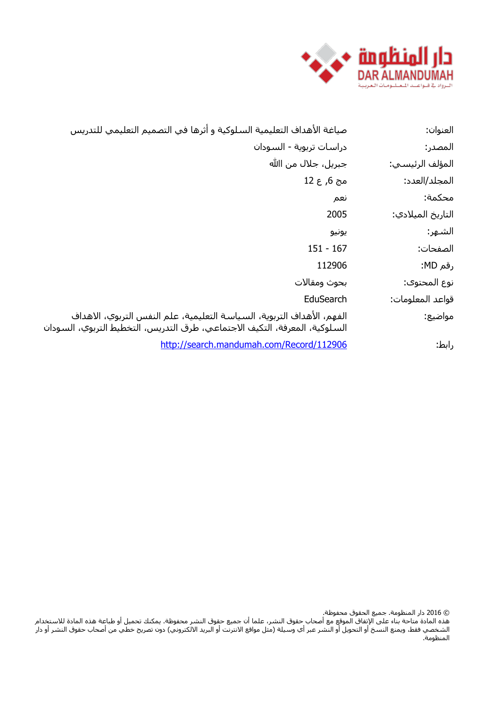

| صياغة الأهداف التعليمية السلوكية و أثرها في التصميم التعليمي للتدريس                                                                                     | العنوان:          |
|----------------------------------------------------------------------------------------------------------------------------------------------------------|-------------------|
| دراسات تربوية - السودان                                                                                                                                  | المصدر:           |
| جبريل، جلال من اﷲ                                                                                                                                        | المؤلف الرئيسي:   |
| مج 6, ع 12                                                                                                                                               | المجلد/العدد:     |
| نعم                                                                                                                                                      | محكمة:            |
| 2005                                                                                                                                                     | التاريخ الميلادي: |
| يونيو                                                                                                                                                    | الشـهر:           |
| $151 - 167$                                                                                                                                              | الصفحات:          |
| 112906                                                                                                                                                   | رقم MD:           |
| بحوث ومقالات                                                                                                                                             | نوع المحتوى:      |
| EduSearch                                                                                                                                                | قواعد المعلومات:  |
| الفهم، الأهداف التربوية، السـياسـة التعليمية، علم النفس التربوي، الاهداف<br>السـلوكية، المعرفة، التكيف الاجتماعي، طرق التدريس، التخطيط التربوي، السـودان | مواضيع:           |
| http://search.mandumah.com/Record/112906                                                                                                                 | رابط:             |

© 2016 دار المنظومة. جميع الحقوق محفوظة.

هذه المادة متاحة بناء على الإتفاق الموقع مع أصحاب حقوق النشر، علما أن جميع حقوق النشر محفوظة. يمكنك تحميل أو طباعة هذه المادة للاستخدام الشخصي فقط، ويمنع النسخ أو التحويل أو النشر عبر أي وسيلة (مثل مواقع الانترنت أو البريد الالكتروني) دون تصريح خطي من أصحاب حقوق النشر أو دار المنظومة.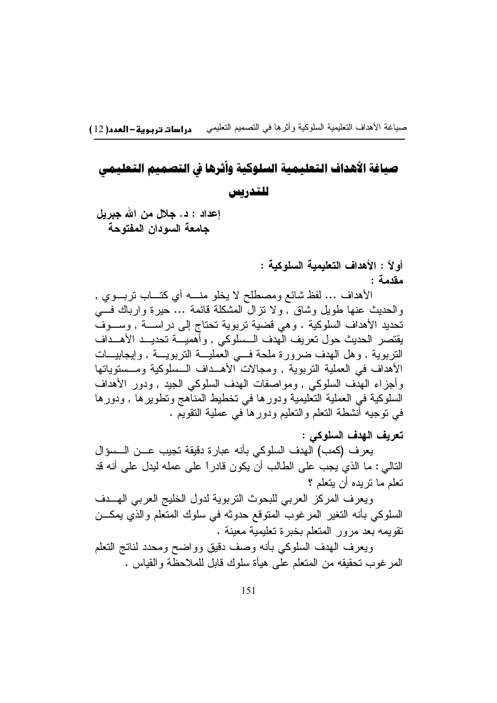صباغة الأهداف التعليمية السلوكية وأثرها في التصميم التعليمي دراسات تربوية – العدد( 12 )

# صياغة الأهداف التعليمية السلوكية وآثرها في التصميم التعليمي للتدريس

إعداد : د. جلال من الله جبريل جامعة السودان المفتوحة

> أو لاً : الأهداف التعليمية السلوكية : مقدمة :

الأهداف … لفظ شائع ومصطلح لا يخلو منــــه أي كتـــاب نزبــــوي , والحديث عنها طويل وشاق , ولا نزال المشكلة فائمة … حيرة وارباك فسي تحديد الأهداف السلوكية . وهي قضية تربوية تحتاج إلى دراســـة , وســـوف يقتصر الحديث حول تعريف الهدف السللوكي , وأهميـــة تحديـــد الأهـــداف النربوية , وهل الـهدف ضّرورة ملحة فـــي العمليـــة النربويـــة , وإيجابيـــات الأهداف في العملية النربوية , ومجالات الأهــداف الــسلوكية ومــسنوياتها وأجزاء الهدف السلوكي , ومواصفات الهدف السلوكي الجيد , ودور الأهداف السلوكية في العملية التعليمية ودورها في تخطيط المناهج وتطويرها , ودورها في نوجيه أُنشطة النعلم والنعليم ودورهاً في عملية النقويم .

تعريف الهدف السلوكي :

يعرف (كمب) الهدف السلوكي بأنه عبارة دقيقة نجيب عـــن الـــسؤال النالي : ما الذي يجب على الطالب أن يكون قادراً على عمله ليدل على أنه قد تعلم ما نر بده أن بتعلم ؟

ويعرف المركز العربي للبحوث النزبوية لدول الخليج العربى الهسدف السلوكي بأنه التغير المرغوب المتوقع حدوثه في سلوك المتعلم والذي يمكــن تقويمه بعد مرور المتعلم بخبرة تعليمية معبنة .

ويعرف الهدف السلوكي بأنه وصف دقيق وواضح ومحدد لناتج النعلم المرغوب تحقيقه من المتعلم على هيأة سلوك قابل للملاحظة والقياس .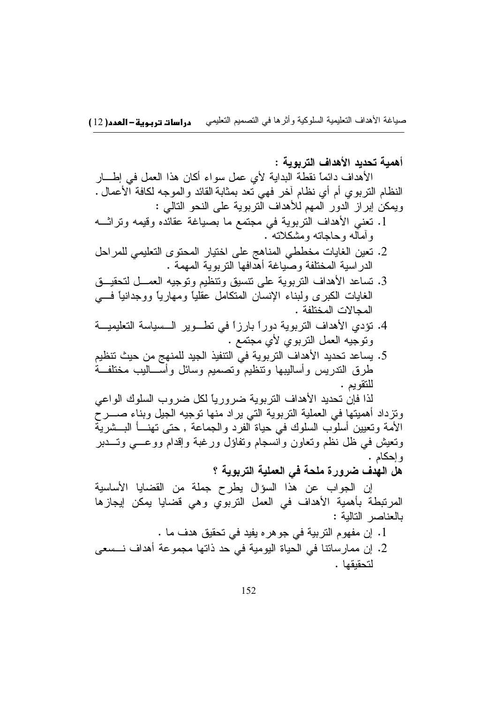أهمية تحديد الأهداف التريوية :

الأهداف دائماً نقطة البدابة لأي عمل سواء أكان هذا العمل في إطـــار النظام النَّربوي أم أي نظام أخر فهي نعد بمثابة القائد والموجه لكافة الأعمال . ويمكن إبر إز الدور المهم للأهداف التربوية على النحو التالي :

- 1. نعني الأهداف النربوية في مجتمع ما بصياغة عقائده وقيمه وتراثـــه و أماله و حاجاته و مشکلاته ً .
- 2. نعين الغايات مخططى المناهج على اختيار المحتوى التعليمي للمراحل الدرَّاسية المختلفة وصّياغة أهَّدافها النربوية المهمة .
- 3. تساعد الأهداف النربوية على نتسيق ونتظيم وتوجيه العمـــل لتحقيـــق الغابات الكبرى ولبناء الإنسان المتكامل عقليا ومهاريا ووجدانيا فسي المحالات المختلفة .
- 4. نؤدي الأهداف النربوية دوراً بارزاً في نطـوير الـسياسة التعليميـــة وتوجيه العمل التربوي لأي مجتمع .
- 5. يساعد تحديد الأهداف التربوية في التنفيذ الجيد للمنهج من حيث تنظيم طرق الندريس وأساليبها ونتظيم ونصميم وسائل وأسساليب مختلفــة للتقويم .

لذا فإن تحديد الأهداف التر بوية ضر ورياً لكل ضر وب السلوك الواعي ونزداد أهميتها في العملية النربوية التي يراد منها نوجيه الجيل وبناء صــــرح الأمة وتعيين أسلوب السلوك في حياة الفرد والجماعة , حتى تهنـــأ البـــشرية ونعيش فيي ظل نظم ونعاون وانسجام ونفاؤل ورغبة وإقدام ووعسى وتسدبر و إحكام .

هل الهدف ضرورة ملحة في العملية التربوية ؟

إن الجواب عن هذا السؤال بطرح جملة من القضايا الأساسية المرتبطة بأهمية الأهداف في العمل النربوي وهي قضايا يمكن إيجازها بالعناصر التالية :

1. إن مفهوم التربية في جوهره يفيد في تحقيق هدف ما . 2. إن ممار ساتنا في الحياة اليومية في حد ذاتها مجموعة أهداف نـــسعى لتحقيقها .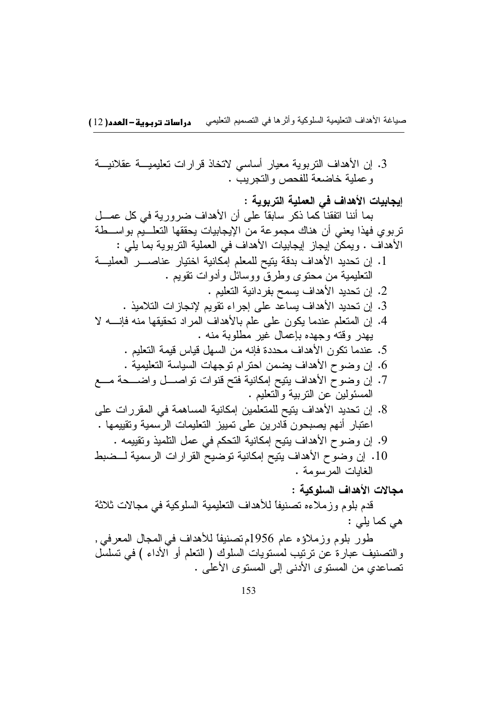3. إن الأهداف التربوية معيار أساسي لاتخاذ قرارات تعليميـــة عقلانيـــة و عملية خاضعة للفحص والتجربب .

إيجابيات الأهداف في العملية التربوية : بما أننا اتفقنا كما ذكر ٍ سابقاً على أن الأهداف ضرور به في كل عصــل نربوي فهذا يعني أن هناك مجموعة من الإيجابيات يحققها النعلـــيّم بواســـطة الأهداف . ويمكن إيجاز إيجابيات الأهداف في العملية التربوية بما يلي : 1. إن تحديد الأهداف بدقة يتيح للمعلم إمكانية اختيار عناصــــر العمليـــة النعليمية من محتوى وطرقٌ ووسائل وأدوات نقويم . 2. إن تحديد الأهداف يسمح بفردانية التعليم . 3. إن تحديد الأهداف بساعد على إجراء تقويم لانجاز ات التلاميذ . 4. إن المتعلم عندما يكون على علم بالأهداف المراد تحقيقها منه فإنسه لا يهدر وقته وجهده بإعمال غير مطلوبة منه . 5. عندما نكون الأهداف محددة فإنه من السهل قياس قيمة التعليم . 6. إن وضوح الأهداف يضمن احترام توجهات السياسة التعليمية . 7. إن وضوح الأهداف يتيح إمكانية فتح قنوات تواصـــل واضـــحة مـــع المسئولين عن التربية والتعليم . 8. إن تحديد الأهداف يتيح للمتعلمين إمكانية المساهمة في المقررات على اعتبار أنهم يصبحون قادرين على تمييز التعليمات الرسمية ونقييمها . 9. إن وضوح الأهداف ينيح إمكانية التحكم في عمل التلميذ وتقييمه . 10. إن وضوح الأهداف بِتيح إمكانية توضيح القرارات الرسمية لــضبط الغابات المرسومة. مجالات الأهداف السلوكية :

قدم بلوم وزملاءه تصنيفاً للأهداف التعليمية السلوكية في مجالات ثلاثة هي کما بلي :

طور بلوم وزملاؤه عام 1956م تصنيفاً للأهداف في المجال المعرفيي, والتصنيف عبارة عن نرتيب لمستويات السلوك ( النعلم أو الأداء ) في تسلسل تصاعدي من المستوى الأدنى إلى المستوى الأعلى .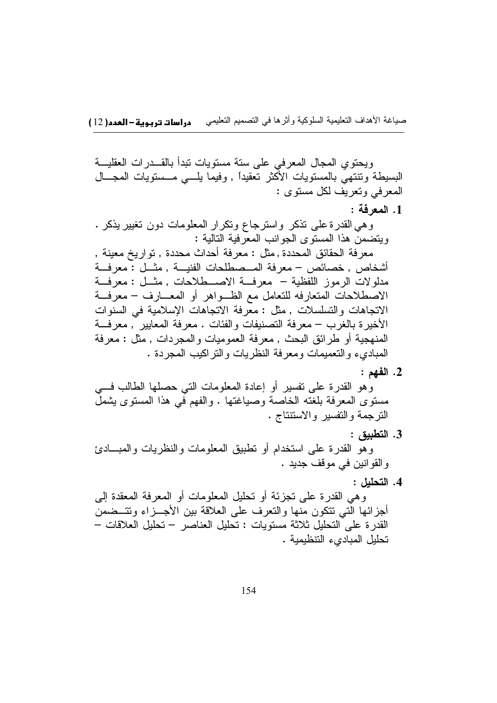ويحتوي المجال المعرفي على ستة مستويات نبدأ بالقـــدرات العقليـــة البسيطة ونتنهى بالمستويات الأكثر نعقيداً , وفيما يلسى مـــستويات المجـــال المعرفي وتعريف لكل مستوى :

#### 1. المعرفة :

وهي القدرة على نذكر واسترجاع ونكرار المعلومات دون نغيير يذكر . ويتضمن هذا المستوى الجوانب المعرفية التالية : معرفة الحقائق المحددة , مثل : معرفة أحداث محددة , تواريخ معينة , أشخاص , خصائص – معرفة المــصطلحات الفنيـــة , مثـــل : معرفـــة مدلو لات الرموز اللفظية – معرفة الاصــطلاحات , مثــل : معرفــة الاصطلاحات المتعارفه للتعامل مع الظـواهر أو المعـــارف – معرفـــة الاتجاهات والتسلسلات , مثل : معّز فة الاتجاهات الإسلامية في السنوات الأخير ة بالغرب – معرفة التصنيفات و الفئات . معرفة المعايير , معرفة المنهجية أو طرائق البحث , معرفة العموميات والمجردات , مثل : معرفة المبادىء والتعميمات ومعرفة النظريات والنز اكيب المجردة .

2. الفهم :

وهو القدرة على نفسير أو إعادة المعلومات التي حصلها الطالب في مستوى المعرفة بلغته الخاصة وصياغتها . والفهم في هذا المستوى يشمل الترجمة والتفسير والاستتناج .

3. التطبيق :

وهو القدرة على استخدام أو نطبيق المعلومات والنظريات والمبـــادئ والقوانين في موقف جديد .

4. التحليل :

وهي القدرة على تجزئة أو تحليل المعلومات أو المعرفة المعقدة إلى أجزائها التبي نتكون منها والنعرف على العلاقة بين الأجـــزاء ونتـــضمن القدر ة على التحليل ثلاثة مستويات : تحليل العناصر – تحليل العلاقات – تحليل المبادىء التنظيمية .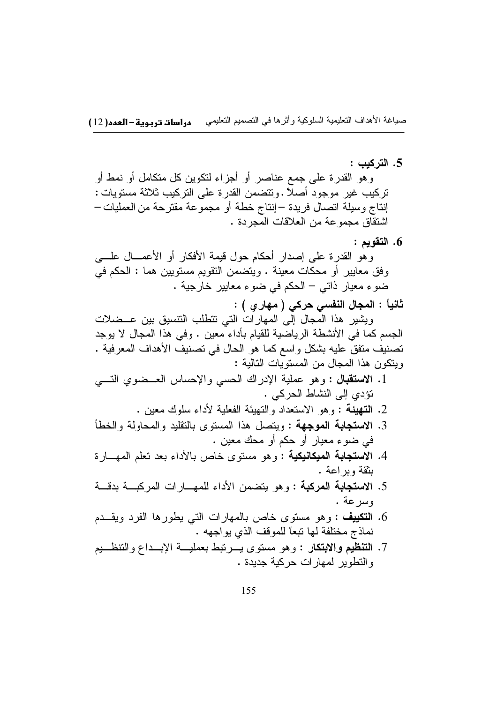5. التركيب :

و هو القدر ۃ علی جمع عناصر ۖ أو ۖ أجز اء لنکوبن کل منکامل أو نمط أو تركيب غير موجود أصلا .ونتضمن القدرة على التركيب ثلاثة مستويات : إنتاج وسيلة اتصال فريدة —إنتاج خطة أو مجموعة مقترحة من العمليات — اشتقاق مجموعة من العلاقات المجردة .

6. التقويم :

وهو القدرة على إصدار أحكام حول قيمة الأفكار أو الأعمـــال علــــى وفق معايير أو محكات معينة . ويتضمن النقويم مستويين هما : الحكم في ضوءِ معيار ذاتي – الحكم في ضوءِ معايير خارجية .

ثانياً : المجال النفسي حركي ( مهار ي ) :

ويشير هذا المجال إلى المهارات التي نتطلب التنسيق بين عــضلات الجسم كما في الأنشطة الرياضية للقيام بأداء معين . وفي هذا المجال لا يوجد تصنيف متفقٍ عليه بشكلٍ واسعٍ كما هو الحال في تصنيف الأهداف المعرفية . وينكون هذا المحال من المستويات التالية :

- 1. الاستقبال : وهو عملية الإدراك الحسي والإحساس العــضوي التـــي نؤدي إلى النشاط الحركي .
	- 2. التهيئة : وهو الاستعداد والتهيئة الفعلية لأداء سلوك معين .
- 3. الاستجابة الموجهة : ويتصل هذا المستوى بالتقليد والمحاولة والخطأ في ضوء معيار أو حكم أو محك معين .
- 4. الاستجابة الميكانيكية : وهو مسنوى خاص بالأداء بعد نعلم المهـــارة يثقة وبداعة .
- 5. الا**ستجابة المركبة** : وهو يتضمن الأداء للمهـــارات المركبـــة بدقـــة وسرعة .
- 6. التكييف : وهو مستوى خاص بالمهارات التي يطورها الفرد ويقــدم نماذج مختلفة لها تبعاً للموقف الذي يواجهه .
- 7. ا**لتنظيم والابتكار** : وهو مستوى يــرتبط بعمليـــة الإبـــداع والتنظـــيم و النطوير لمهار ات حركية جديدة .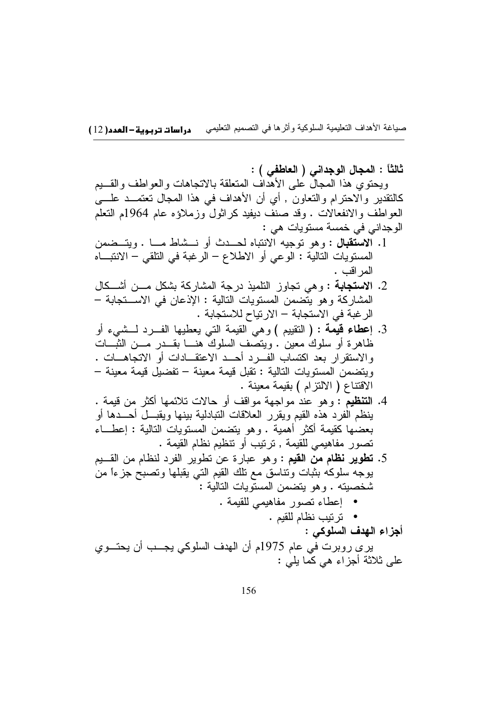ثالثًا : المجال الوجداني ( العاطفي ) : ويحتوى هذا المجال على الأهداف المتعلقة بالانجاهات والعواطف والقسيع كالنقدير والاحترام والنعاون , أي أن الأهداف في هذا المجال نعتمــد علــــي العواطف والانفعالات . وقد صنف ديفيد كراثول وزملاؤه عام 1964م النعلم الوجداني في خمسة مستويات هي : 1. الاستقبال : وهو توجيه الانتباه لحــدث أو نـــشاط مـــا . ويتــضمن المستويات التالية : الوعي أو الاطلاع – الرغبة في التلقي – الانتبـــاه المر اقب . 2. الاستجابة : وهي تجاوز النلميذ درجة المشاركة بشكل مـــن أشـــكال المشاركة و هو يتضمن المستويات التالية : الإذعان في الاســـتجابة – الر غبة في الاستجابة – الار تياح للاستجابة . 3. إعطاء قيمة : ( التقييم ) وهي القيمة التي يعطيها الفسرد لمسشىء أو ظاهرة أو سلوك معين . ويتصف السلوك هنـــا بقـــدر مـــن الثبـــات والاستقرار بعد اكتساب الفـــرد أحـــد الاعتقـــادات أو الاتجاهـــات . ويتضمن المستويات التالية : تقبل قيمة معينة – تفضيل قيمة معينة – الاقتناع ( الالتزام ) بقيمة معينة . 4. ا**لتنظيم** : و هو عند مو اجهة مو اقف أو حالات تلائمها أكثر من قيمة . ينظم الفرد هذه القيم ويقرر العلاقات النبادلية ببنها ويقبـــلّ أحـــدها أو بعضها كقيمة أكثر أهمية . وهو يتضمن المستويات التالية : إعطـــاء نصور مفاهيمي للقيمة , ترتيب أو تتظيم نظام القيمة . 5. **تطوير نظام من القيم** : وهو عبارة عن تطوير الفرد لنظام من القـــيم يوجه سلوكه بثبات ونناسق مع نلك القيم النبي يقبلها ونصبح جزءاً من شخصيته . وهو يتضمن المستويات التالية :

- إعطاء تصور مفاهيمي للقيمة .
	- ترتيب نظام للقيم .
		- أجزاء الهدف السلوكي :

يري روبرت في عام 1975م أن الهدف السلوكي يجــب أن يحتــوي علي ثلاثة أجزاء هي كما يلي :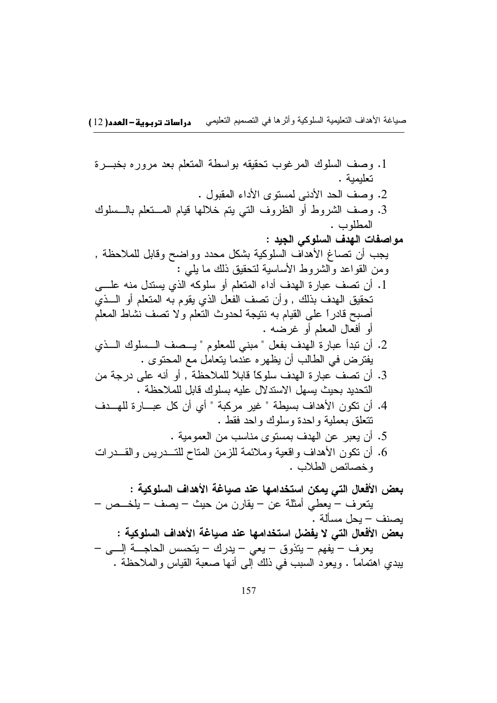1. وصف السلوك المرغوب نحقيقه بواسطة المتعلم بعد مروره بخبـــرة تعلىمىة . 2. وصف الحد الأدنى لمستوى الأداء المقبول . 3. وصف الشروط أو الظروف التي يتم خلالها قيام المستعلم بالـــسلوك المطلوب . مواصفات الهدف السلوكي الجيد : يجب أن نصاغ الأهداف السلوكية بشكل محدد وواضح وقابل للملاحظة , ومن القواعد والشروط الأساسية لتحقيق ذلك ما يلبي : 1. أن نصف عبارة الهدف أداء المتعلم أو سلوكه الذي يستدل منه علـــي تحقيق الهدف بذلك , وأن تصف الفعل الذي يقوم به المتعلم أو الـــذي أصبح قادراً على القيام به نتيجة لحدوث النعلم ولا نصف نشاط المعلم أو أفعال المعلم أو غرضه . 2. أن تبدأ عبارة الهدف بفعل " مبنى للمعلوم " يـــصف الــسلوك الـــذى يفتر ض في الطالب أن يظهر ه علَّدما يتعامل مع المحتوى . 3. أن تصف عبارة الهدف سلوكاً قابلاً للملاحظة , أو أنه على درجة من التحديد بحيث بسهل الاستدلال عليه بسلوك قابل للملاحظة . 4. أن تكون الأهداف بسيطة " غير مركبة " أي أن كل عبـــار ة للهـــدف نتعلق بعملية واحدة وسلوك واحد فقط . 5. أن يعبر عن الهدف بمستوى مناسب من العمومية . 6. أن نكون الأهداف واقعية وملائمة للزمن المتاح للتــدريس والقــدرات وخصائص الطلاب . بعض الأفعال التي يمكن استخدامها عند صياغة الأهداف السلوكية : يتعرف – يعطي أمثلة عن – يقارن من حيث – يصف – يلخــص – بصنف – بحل مسألة . بعض الأفعال التي لا يفضل استخدامها عند صياغة الأهداف السلوكية : يعرف – يفهم – يتذوق – يعي – يدرك – يتحسس الحاجــــة إلــــى – يبدى اهتماماً . ويعود السبب في ذلك إلى أنها صعبة القياس والملاحظة .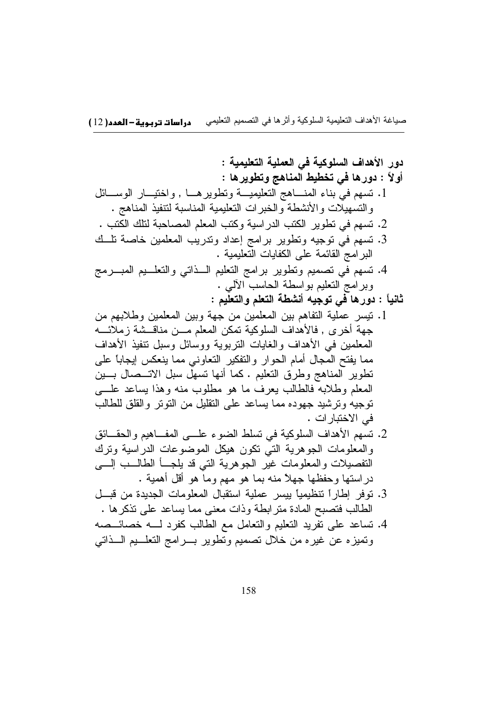دور الأهداف السلوكية في العملية التعليمية : أولاً : دورها في تخطيط المناهج وتطويرها : 1. نسهم في بناء المنـــاهج النعليميـــة ونطويرهـــا , واختيـــار الوســـائل والتسهيلات والأنشطة والخبرات التعليمية المناسبة لتنفيذ المناهج . 2. نسهم في نطوير الكتب الدراسية وكتب المعلم المصاحبة لتلك الكتب . 3. نسهم في نوجيه ونطوير برامج إعداد وندريب المعلمين خاصة نلــك البر امج القائمة على الكفابات التعليمية . 4. نسهم في نصميم ونطوير برامج النعليم الـــذانـي والنعلـــيم المبــــرمج وبرامج النعليم بواسطة الحاسب الألمي . ثانياً : دورها في توجيه أنشطة التعلم والتعليم : 1. نيسر عملية التفاهم بين المعلمين من جهة وبين المعلمين وطلابهم من جهة أخر ي , فالأهداف السلوكية تمكن المعلم مـــن مناقـــشة ز ملائــــه المعلمين في الأهداف والغايات النربوية ووسائل وسبل نتفيذ الأهداف مما يفتح المجال أمام الحوار والتفكير التعاوني مما ينعكس إيجاباً على نطوير المناهج وطرق النعليم . كما أنها نسهل سبل الاتـــصـال بــــين المعلم وطلابه فالطالب يعرف ما هو مطلوب منه وهذا بساعد عليى توجيه وترشيد جهوده مما يساعد على التقليل من النونز والقلق للطالب في الاختبار ات .

- 2. تسهم الأهداف السلوكية في تسلط الضوء علـــي المفـــاهيم والحقـــائق والمعلومات الجوهرية التبي نكون هيكل الموضوعات الدراسية ونرك النفصيلات والمعلومات غير الجوهرية التي قد يلجـــأ الطالـــب الِــــى در استها و حفظها جهلاً منه بما هو مهم وماً هو أقل أهمية .
- 3. نوفر إطاراً نتظيمياً بيسر عملية استقبال المعلومات الجديدة من قبل الطالب فتصبح المادة مترابطة وذات معنى مما يساعد على تذكرها .
- 4. تساعد على تفريد التعليم والتعامل مع الطالب كفرد لــــه خصائـــصه وتميزه عن غيره من خلال تصميم وتطوير بسرامج التعلسيم السذاتبي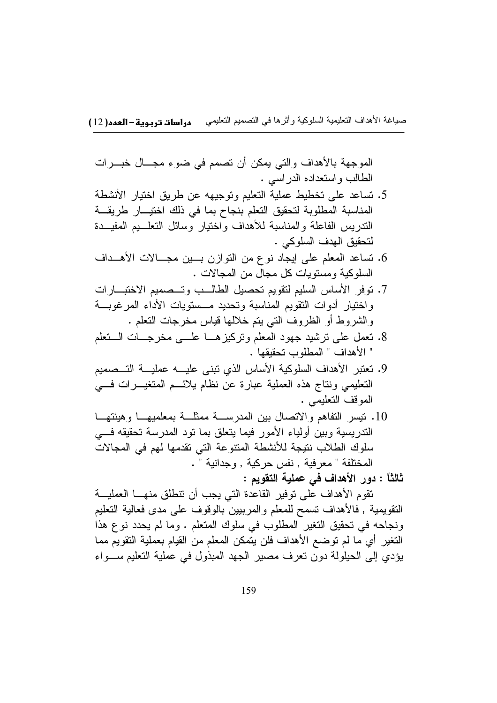الموجهة بالأهداف والتي يمكن أن تصمم في ضوء مجــال خبـــرات الطالب واستعداده الدر اسبي .

- 5. تساعد على تخطيط عملية التعليم وتوجيهه عن طريق اختيار الأنشطة المناسبة المطلوبة لتحقيق التعلم بنجاح بما في ذلك اختيــار طريقــة الندريس الفاعلة والمناسبة للأهداف واختيار وسائل النعلسيم المفيسدة لتحقيق الهدف السلوكي .
- 6. تساعد المعلم على إيجاد نوع من النوازن بسين مجـــالات الأهـــداف السلوكية ومستويات كل مجال من المجالات .
- 7. نوفر الأساس السليم لتقويم تحصيل الطالب وتسصميم الاختبارات واختيار أدوات النقويم المناسبة ونحديد مــستويات الأداء المرغوبـــة والشروط أو الظروف التي بنم خلالها قياس مخرجات النعلم .
- 8. نعمل على نرشيد جهود المعلم ونركيزهـــا علــــى مخرجـــات الــــنعلم " الأهداف " المطلوب تحقبقها .
- 9. نعتبر الأهداف السلوكية الأساس الذي نبنى عليــــه عمليــــة التـــصميم التعليمي ونتاج هذه العملية عبارة عن نظام يلائـــم المتغيــــرات فــــي الموقف التعليمي .
- 10. نَيْسِ النَّفاهُمِ والانْصالِ بينِ الْمُدْرِسَــة مَمثَلَــة بمعلميهـــا وهيئتهـــا الندريسية وبين أولياء الأمور فيما يتعلق بما نود المدرسة تحقيقه في سلوك الطلاب نتيجة للأنشطة المتنوعة التي تقدمها لهم في المجالات المختلفة " معر فية , نفس حركية , وجدانية " .
	- ثالثاً : دور الأهداف في عملية التقويم :

تقوم الأهداف على توفير القاعدة التي يجب أن تتطلق منهـــا العمليـــة النقويمية , فالأهداف نسمح للمعلم والمرببين بالوقوف على مدى فعالية النعليم ونجاحه في تحقيق التغير المطلوب في سلوك المتعلم . وما لم يحدد نوع هذا النغير أي ما لم توضع الأهداف فلن يتمكن المعلم من القيام بعملية النقويم مما يؤدي إلى الحيلولة دون تعرف مصير الجهد المبذول في عملية التعليم سـواء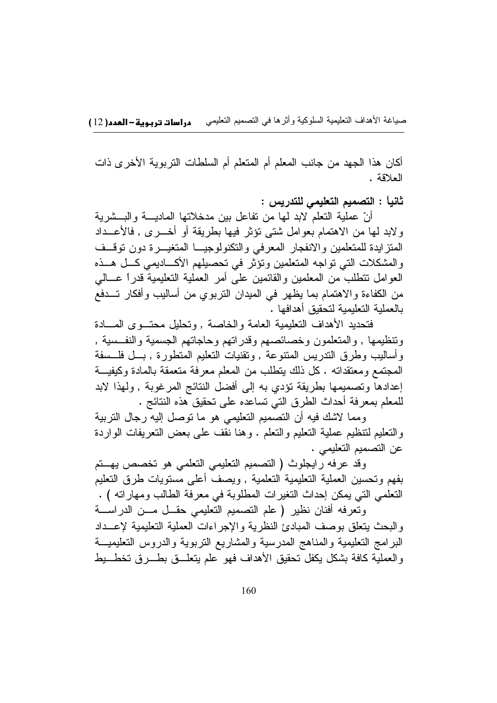أكان هذا الجهد من جانب المعلم أم المتعلم أم السلطات النزبوية الأخرى ذات العلاقة .

ثانياً : التصميم التعليمي للتدريس :

أنّ عملية النعلم لابد لمها من نفاعل بين مدخلاتها الماديــــة والبـــشرية ولابد لمها من الاهتمام بعوامل شتبي نؤثر فيها بطريقة أو أخـــرى , فالأعـــداد المنزايدة للمتعلمين والانفجار المعرفى والنكنولوجيا المتغيــرة دون نوقــف والمشكلات التي تواجه المتعلمين وتؤثر في تحصبلهم الأكـــاديمي كـــل هـــذه العوامل نتطلب من المعلمين والقائمين على أمر العملية النعليمية قدراً عـــالـي من الكفاءة والاهتمام بما يظهر في الميدان التربوي من أساليب وأفكار تسدفع بالعملية التعليمية لتحقيق أهدافها .

فتحديد الأهداف التعليمية العامة والخاصة , وتحليل محتسوى المسادة وتنظيمها , والمتعلمون وخصائصهم وقدراتهم وحاجاتهم الجسمية والنفسية , وأساليب وطرق الندريس المنتوعة , ونقنيات النعليم المنطورة , بسل فلسسفة المجتمع ومعتقداته . كل ذلك يتطلب من المعلم معرفة متعمقة بالمادة وكيفيـــة إعدادها وتصميمها بطريقة نؤدي به إلى أفضل النتائج المرغوبة , ولهذا لابد للمعلم بمعرفة أحداث الطرق التي تساعده على تحقيق هذه النتائج .

ومما لاشك فيه أن التصميم التعليمي هو ما توصل إليه رجال التربية والتعليم لنتظيم عملية النعليم والنعلم . وهنا نقف على بعض النعريفات الواردة عن التصميم التعليمي .

وقد عرفه رايجلوث (التصميم التعليمي التعلمي هو تخصص يهتم بفهم وتحسين العملية النعليمية النعلمية , ويصف أعلى مسنويات طرق النعليم النعلمي الني يمكن إحداث النغيرات المطلوبة في معرفة الطالب ومهاراته ) .

وتعرفه أفنان نظير ( علم التصميم التعليمي حقـــل مـــن الدراســــة والبحث يتعلق بوصف المبادئ النظرية والإجراءات العملية التعليمية لإعــداد البرامج النعليمية والمناهج المدرسية والمشاريع النربوية والدروس النعليميـــة والعملية كافة بشكل يكفل تحقيق الأهداف فهو علم يتعلَّــق بطـــرق تخطـــبط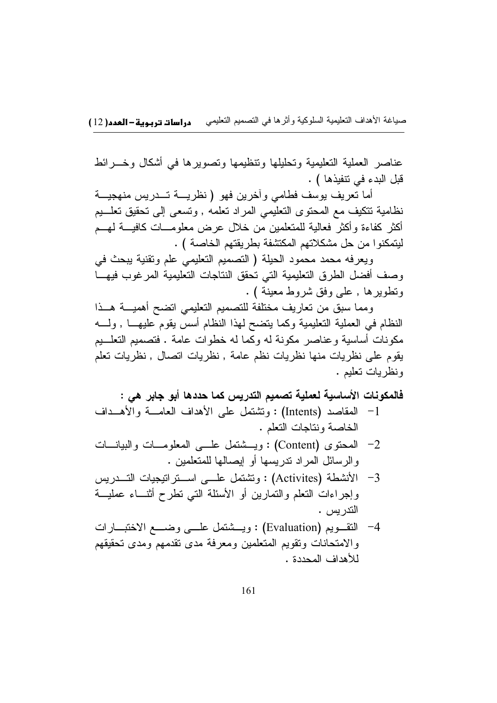عناصر العملية التعليمية وتحليلها وتنظيمها وتصويرها في أشكال وخسرائط قبل البدء في نتفيذها ) .

أما تعريف يوسف فطامي وأخرين فهو ( نظريسة تـــدريس منهجيـــة نظامية نتكيف مع المحتوى التعليمي المراد نعلمه , ونسعى إلى نحقيق نعلـــيم أكثر كفاءة وأكثر فعالية للمتعلمين من خلال عرض معلومـــات كافيــــة لـهـــم لبِتمكنوا من حل مشكلاتهم المكتشفة بطر بِقتهم الخاصة ) .

ويعرفه محمد محمود الحيلة (التصميم التعليمي علم وتقنية يبحث في وصف أفضل الطرق التعليمية التي تحقق النتاجات التعليمية المرغوب فيها وتطويرها , على وفق شروط معينة ) .

ومما سبق من نعاريف مختلفة للتصميم التعليمي انضح أهميـــة هـــذا النظام في العملية التعليمية وكما يتضح لهذا النظام أسس يقوم عليهـــا , ولمـــه مكونات أساسية وعناصر مكونة له وكما له خطوات عامة . فتصميم التعلـــيم يقوم على نظريات منها نظريات نظم عامة , نظريات اتصال , نظريات تعلم ونظر بات تعليم .

فالمكونات الأساسية لعملية تصميم التدريس كما حددها أبو جابر هي :

- 1- المقاصد (Intents) : ونتثنقل على الأهداف العامـــة والأهـــداف الخاصة ونتاجات التعلم .
- المحتوى (Content) : ويسشتمل علسى المعلومسات والبيانسات  $-2$ و الرسائل المراد ندريسها أو إيصالها للمتعلمين .
- الأنشطة (Activites) : وتشتمل علـــى اســـتر اتيجيات التـــدريس  $-3$ وإجراءات النعلم والنمارين أو الأسئلة التي نطرح أننساء عمليــة التدريس .
- 4- النقــويم (Evaluation) : ويـــثمنمل علـــي وضــــع الاختبـــارات والامتحانات وتقويم المتعلمين ومعرفة مدى نقدمهم ومدى تحقيقهم للأهداف المحددة .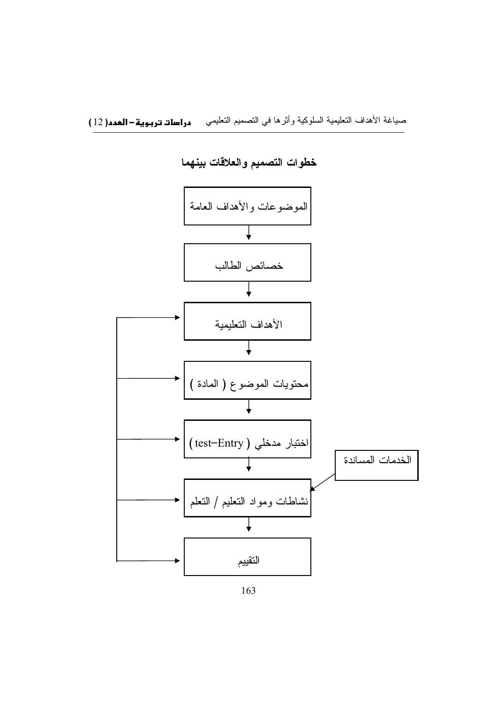

خطوات التصميم والعلاقات بينهما

163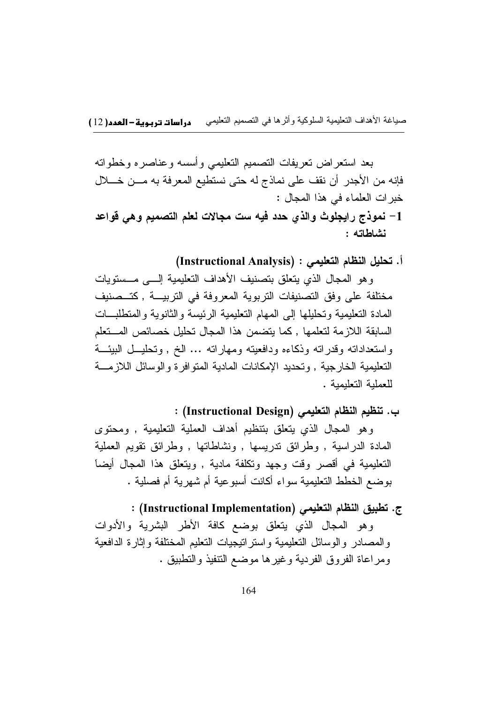بعد استعراض تعريفات التصميم التعليمي وأسسه وعناصره وخطواته فإنه من الأجدر أن نقف على نماذج له حتى نستطيع المعرفة به مـــن خــــلال خبرات العلماء في هذا المجال : 1- نموذج رايجلوث والذي حدد فيه ست مجالات لعلم التصميم وهي قواعد نشاطاته :

أ. تحليل النظام التعليمي : (Instructional Analysis)

و هو المجال الذي يتعلق بتصنيف الأهداف التعليمية إلـــى مــستويات مختلفة على وفق التصنيفات التربوية المعروفة في التربيسة , كتسصنيف المادة التعليمية وتحليلها إلى المهام التعليمية الرئيسة والثانوية والمتطلبات السابقة اللازمة لتعلمها , كما يتضمن هذا المجال تحليل خصائص المستعلم واستعداداته وقدراته وذكاءه ودافعيته ومهاراته ... الخ , وتحليــل البيئـــة التعليمية الخارجية , وتحديد الإمكانات المادية المنوافرة والوسائل اللازمــــة للعملية التعليمية .

ب. تنظيم النظام التعليمي (Instructional Design) :

وهو المجال الذي يتعلَّق بتنظيم أهداف العملية التعليمية , ومحتوى المادة الدراسية , وطرائق ندريسها , ونشاطاتها , وطرائق نقويم العملية التعليمية في أقصر وقت وجهد وتكلفة مادية , ويتعلق هذا المجال أيضاً بو ضبع الخطط التعليمية سواء أكانت أسبو عية أم شهر بة أم فصلية .

ج. تطبيق النظام التعليمي (Instructional Implementation) : وهو المجال الذي يتعلق بوضع كافة الأطر البشرية والأدوات والمصادر والوسائل التعليمية واستراتيجيات التعليم المختلفة وإثارة الدافعية ومراعاة الفروق الفردية وغيرها موضع النتفيذ والتطبيق .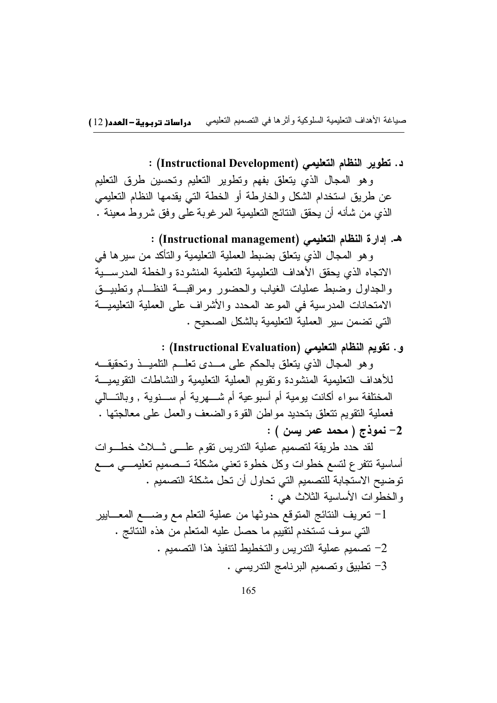## د. تطوير النظام التعليمي (Instructional Development) :

وهو المحال الذي يتعلق بفهم ونطوير النعليم ونحسين طرق النعليم عن طريق استخدام الشكل والخارطة أو الخطة التي يقدمها النظام التعليمي الذي من شأنه أن يحقق النتائج التعليمية المرغوبة على وفق شروط معينة .

## هـ. إدارة النظام التعليمي (Instructional management) : وهو المجال الذي يتعلق بضبط العملية التعليمية والتأكد من سيرها في الاتجاه الذى يحقق الأهداف التعليمية التعلمية المنشودة والخطة المدر سبية والجداول وضبط عمليات الغياب والحضور ومراقبسة النظسام وتطبيق الامتحانات المدرسية في الموعد المحدد والأشراف على العملية التعليمية التي تضمن سير العملية التعليمية بالشكل الصحيح .

و . تقويم النظام التعليمي (Instructional Evaluation) :

وهو المجال الذي يتعلق بالحكم على مــدى تعلــم التلميــذ وتحقيقـــه للأهداف التعليمية المنشودة ونقويم العملية التعليمية والنشاطات النقويميسة المختلفة سواء أكانت بومية أم أسبوعية أم شــــهرية أم ســـنوية , وبالتـــالـي فعملية النقويم نتعلق بتحديد مواطن القوة والضعف والعمل على معالجتها . 2- نموذج ( محمد عمر يسن ) :

لقد حدد طريقة لتصميم عملية الندريس تقوم علسى شبلات خطسوات أساسية نتفرع لتسع خطوات وكل خطوة تعنى مشكلة تـــصميم تعليمـــي مــــع توضيح الاستجابة للتصميم التي تحاول أن تحل مشكلة التصميم . والخطوات الأساسية الثلاث هي :

1- تعريف النتائج المتوقع حدوثها من عملية التعلم مع وضـــع المعـــابير التبي سوف تستخدم لتقييم ما حصل عليه المتعلم من هذه النتائج . 2- تصميم عملية الندريس والتخطيط لنتفيذ هذا التصميم . 3– تطبيق وتصميم البر نامج التدريسي .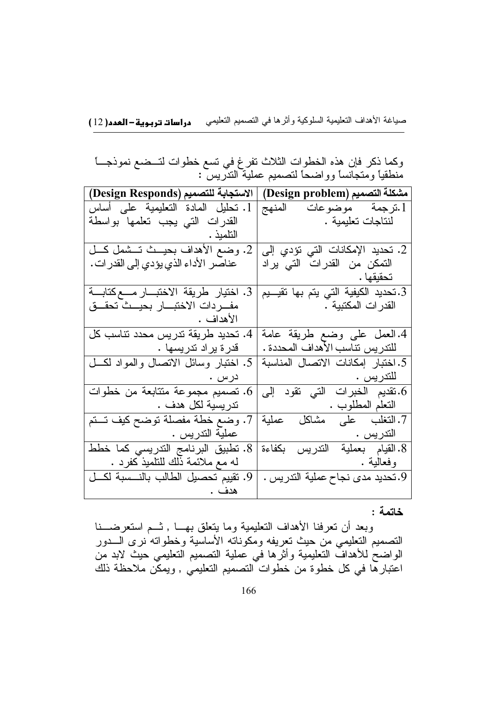صباغة الأهداف التعليمية السلوكية وأثرها في النصميم التعليمي دراسات تربوية-العدد(12)

| وكما ذكر فإن هذه الخطوات الثلاث تفرغ في تسع خطوات لتــضع نموذجـــاً |  |                                                  |  |
|---------------------------------------------------------------------|--|--------------------------------------------------|--|
|                                                                     |  | منطقيًا ومتجانسًا وواضحًا لتصميم عملية التدريس : |  |

| الاستجابة للتصميم (Design Responds)          | مشكلة التصميم (Design problem)                |
|----------------------------------------------|-----------------------------------------------|
| 1. نحليل المادة التعليمية على أساس           | 1.ترجمة موضوعات المنهج                        |
| القدرات التى يجب تعلمها بواسطة               | لّْنتاجات تعليمية .                           |
|                                              |                                               |
| 2. وضع الأهداف بحيــث تــشمل كـــل           | 2. تحديد الإمكانات التي تؤدي إلى              |
| عناصر الأداء الذي يؤدي إلى القدر ات .        | النمكن من القدرات التي يراد                   |
|                                              |                                               |
| 3. اختيار طريقة الاختبـــار مــــع كتابــــة | 3.تحديد الكيفية الت <i>ي</i> يتم بها تقيـــيم |
| مفـــردات الاختبــــار بـحيـــث تحقـــق      | القدر ات المكتبية .                           |
|                                              |                                               |
| 4. تحديد طريقة تدريس محدد نتاسب كل           | 4.العمل على وضع طريقة عامة                    |
| قدرة يراد تدريسها .                          | للندريس نناسب الأهداف المحددة .               |
| 5. اختبار وسائل الاتصال والمواد لكل          | 5. اختبار إمكانات الاتصال المناسبة            |
| درس .                                        |                                               |
| . تصميم مجموعة متتابعة من خطوات              | . تقديم الخبرات التي تقود إلى                 |
| تدريسية لكل هدف .                            | النعلم المطلوب .                              |
| 7. وضع خطة مفصلة توضح كيف تــتم              | 7.النغلب على مشاكل<br>عملية                   |
| عملية التدريس .                              | التدريس .                                     |
| 8. تطبيق البرنامج الندريسي كما خطط           | 8. القيام بعملية التدريس بكفاءة               |
| له مع ملائمة ذلك للتلميذ كفرد .              | وفعالية .                                     |
| 9. تقييم تحصيل الطالب بالنـــسبة لكـــل      | 9.تحديد مدى نجاح عملية التدريس .              |
| هدف .                                        |                                               |

### خاتمة :

وبعد أن تعرفنا الأهداف التعليمية وما يتعلق بهـــا , ثـــم استعرضـــنا النصميم النعليمي من حيث تعريفه ومكوناته الأساسية وخطواته نرى السدور الواضع الأهداف التعليمية وأثرها في عملية التصميم التعليمي حيث لابد من<br>الواضع للأهداف التعليمية وأثرها في عملية التصميم التعليمي حيث لابد من